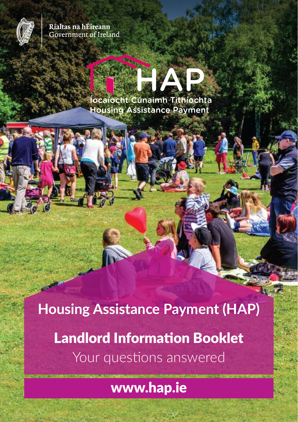

Rialtas na hÉireann **Government of Ireland** 

# Íocaíocht Cúnaimh Tithíochta **Housing Assistance Payment**

**Housing Assistance Payment (HAP)** Landlord Information Booklet Your questions answered

www.hap.ie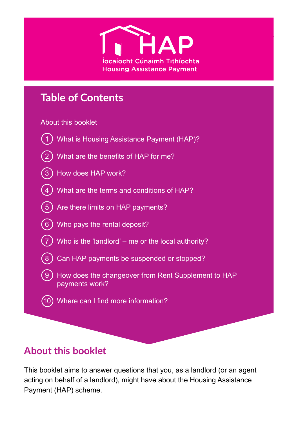

### **Table of Contents**

#### About this booklet



 $(8)$  Can HAP payments be suspended or stopped?

 9 How does the changeover from Rent Supplement to HAP payments work?

10 Where can I find more information?

### **About this booklet**

This booklet aims to answer questions that you, as a landlord (or an agent acting on behalf of a landlord), might have about the Housing Assistance Payment (HAP) scheme.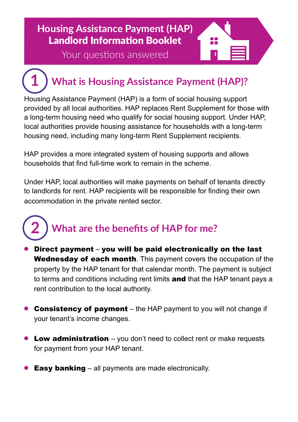### **HAP Landlord Information Booklet** Landlord Information Booklet **Housing Assistance Payment (HAP)**

Your questions answered

**1**

### **What is Housing Assistance Payment (HAP)?**

H

Housing Assistance Payment (HAP) is a form of social housing support provided by all local authorities. HAP replaces Rent Supplement for those with a long-term housing need who qualify for social housing support. Under HAP, local authorities provide housing assistance for households with a long-term housing need, including many long-term Rent Supplement recipients.

HAP provides a more integrated system of housing supports and allows households that find full-time work to remain in the scheme.

Under HAP, local authorities will make payments on behalf of tenants directly to landlords for rent. HAP recipients will be responsible for finding their own accommodation in the private rented sector.

### **What are the benefits of HAP for me? 2**

- Direct payment you will be paid electronically on the last Wednesday of each month. This payment covers the occupation of the property by the HAP tenant for that calendar month. The payment is subject to terms and conditions including rent limits and that the HAP tenant pays a rent contribution to the local authority.
- **Consistency of payment** the HAP payment to you will not change if your tenant's income changes.
- **Low administration**  $-$  you don't need to collect rent or make requests for payment from your HAP tenant.
- **Easy banking** all payments are made electronically.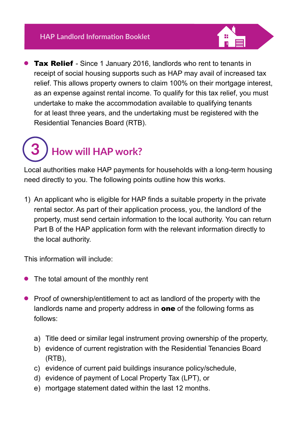

**Tax Relief** - Since 1 January 2016, landlords who rent to tenants in receipt of social housing supports such as HAP may avail of increased tax relief. This allows property owners to claim 100% on their mortgage interest, as an expense against rental income. To qualify for this tax relief, you must undertake to make the accommodation available to qualifying tenants for at least three years, and the undertaking must be registered with the Residential Tenancies Board (RTB).

### **How will HAP work? 3**

Local authorities make HAP payments for households with a long-term housing need directly to you. The following points outline how this works.

1) An applicant who is eligible for HAP finds a suitable property in the private rental sector. As part of their application process, you, the landlord of the property, must send certain information to the local authority. You can return Part B of the HAP application form with the relevant information directly to the local authority.

This information will include:

- The total amount of the monthly rent
- **•** Proof of ownership/entitlement to act as landlord of the property with the landlords name and property address in **one** of the following forms as follows:
	- a) Title deed or similar legal instrument proving ownership of the property,
	- b) evidence of current registration with the Residential Tenancies Board (RTB),
	- c) evidence of current paid buildings insurance policy/schedule,
	- d) evidence of payment of Local Property Tax (LPT), or
	- e) mortgage statement dated within the last 12 months.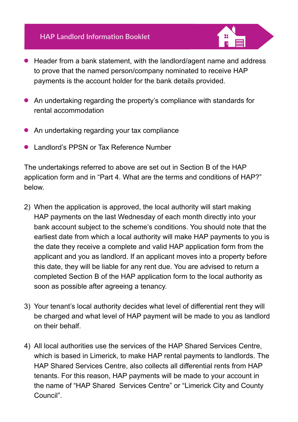

- An undertaking regarding the property's compliance with standards for rental accommodation
- An undertaking regarding your tax compliance
- <sup>l</sup> Landlord's PPSN or Tax Reference Number

The undertakings referred to above are set out in Section B of the HAP application form and in "Part 4. What are the terms and conditions of HAP?" below.

- 2) When the application is approved, the local authority will start making HAP payments on the last Wednesday of each month directly into your bank account subject to the scheme's conditions. You should note that the earliest date from which a local authority will make HAP payments to you is the date they receive a complete and valid HAP application form from the applicant and you as landlord. If an applicant moves into a property before this date, they will be liable for any rent due. You are advised to return a completed Section B of the HAP application form to the local authority as soon as possible after agreeing a tenancy.
- 3) Your tenant's local authority decides what level of differential rent they will be charged and what level of HAP payment will be made to you as landlord on their behalf.
- 4) All local authorities use the services of the HAP Shared Services Centre, which is based in Limerick, to make HAP rental payments to landlords. The HAP Shared Services Centre, also collects all differential rents from HAP tenants. For this reason, HAP payments will be made to your account in the name of "HAP Shared Services Centre" or "Limerick City and County Council".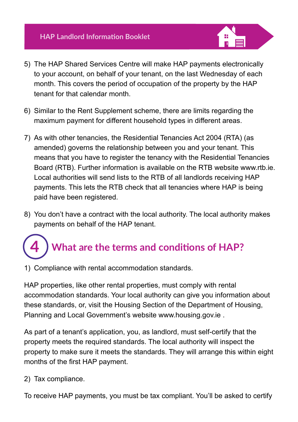

- 5) The HAP Shared Services Centre will make HAP payments electronically to your account, on behalf of your tenant, on the last Wednesday of each month. This covers the period of occupation of the property by the HAP tenant for that calendar month.
- 6) Similar to the Rent Supplement scheme, there are limits regarding the maximum payment for different household types in different areas.
- 7) As with other tenancies, the Residential Tenancies Act 2004 (RTA) (as amended) governs the relationship between you and your tenant. This means that you have to register the tenancy with the Residential Tenancies Board (RTB). Further information is available on the RTB website www.rtb.ie. Local authorities will send lists to the RTB of all landlords receiving HAP payments. This lets the RTB check that all tenancies where HAP is being paid have been registered.
- 8) You don't have a contract with the local authority. The local authority makes payments on behalf of the HAP tenant.

### **What are the terms and conditions of HAP? 4**

1) Compliance with rental accommodation standards.

HAP properties, like other rental properties, must comply with rental accommodation standards. Your local authority can give you information about these standards, or, visit the Housing Section of the Department of Housing, Planning and Local Government's website www.housing.gov.ie .

As part of a tenant's application, you, as landlord, must self-certify that the property meets the required standards. The local authority will inspect the property to make sure it meets the standards. They will arrange this within eight months of the first HAP payment.

2) Tax compliance.

To receive HAP payments, you must be tax compliant. You'll be asked to certify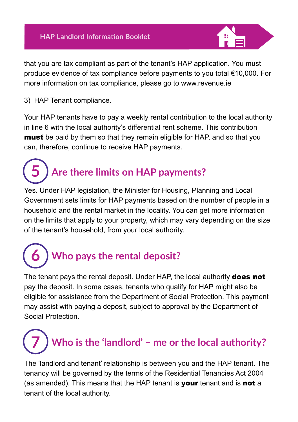

that you are tax compliant as part of the tenant's HAP application. You must produce evidence of tax compliance before payments to you total €10,000. For more information on tax compliance, please go to www.revenue.ie

3) HAP Tenant compliance.

Your HAP tenants have to pay a weekly rental contribution to the local authority in line 6 with the local authority's differential rent scheme. This contribution **must** be paid by them so that they remain eligible for HAP, and so that you can, therefore, continue to receive HAP payments.

#### **Are there limits on HAP payments? 5**

Yes. Under HAP legislation, the Minister for Housing, Planning and Local Government sets limits for HAP payments based on the number of people in a household and the rental market in the locality. You can get more information on the limits that apply to your property, which may vary depending on the size of the tenant's household, from your local authority.

### **Who pays the rental deposit? 6**

The tenant pays the rental deposit. Under HAP, the local authority **does not** pay the deposit. In some cases, tenants who qualify for HAP might also be eligible for assistance from the Department of Social Protection. This payment may assist with paying a deposit, subject to approval by the Department of Social Protection.

## **Who is the 'landlord' – me or the local authority? 7**

The 'landlord and tenant' relationship is between you and the HAP tenant. The tenancy will be governed by the terms of the Residential Tenancies Act 2004 (as amended). This means that the HAP tenant is your tenant and is not a tenant of the local authority.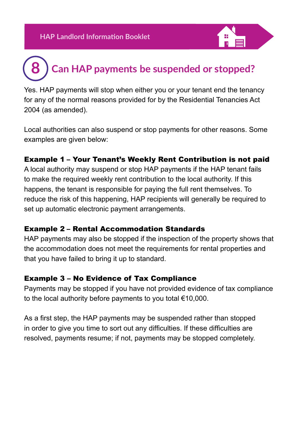

### **Can HAP payments be suspended or stopped? 8**

Yes. HAP payments will stop when either you or your tenant end the tenancy for any of the normal reasons provided for by the Residential Tenancies Act 2004 (as amended).

Local authorities can also suspend or stop payments for other reasons. Some examples are given below:

#### Example 1 – Your Tenant's Weekly Rent Contribution is not paid

A local authority may suspend or stop HAP payments if the HAP tenant fails to make the required weekly rent contribution to the local authority. If this happens, the tenant is responsible for paying the full rent themselves. To reduce the risk of this happening, HAP recipients will generally be required to set up automatic electronic payment arrangements.

#### Example 2 – Rental Accommodation Standards

HAP payments may also be stopped if the inspection of the property shows that the accommodation does not meet the requirements for rental properties and that you have failed to bring it up to standard.

#### Example 3 – No Evidence of Tax Compliance

Payments may be stopped if you have not provided evidence of tax compliance to the local authority before payments to you total €10,000.

As a first step, the HAP payments may be suspended rather than stopped in order to give you time to sort out any difficulties. If these difficulties are resolved, payments resume; if not, payments may be stopped completely.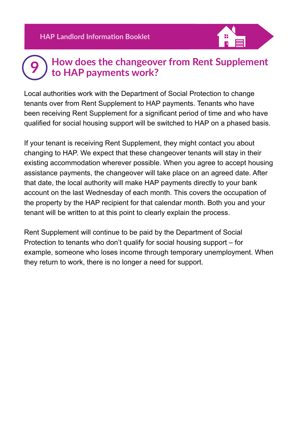#### **How does the changeover from Rent Supplement to HAP payments work? 9**

Local authorities work with the Department of Social Protection to change tenants over from Rent Supplement to HAP payments. Tenants who have been receiving Rent Supplement for a significant period of time and who have qualified for social housing support will be switched to HAP on a phased basis.

If your tenant is receiving Rent Supplement, they might contact you about changing to HAP. We expect that these changeover tenants will stay in their existing accommodation wherever possible. When you agree to accept housing assistance payments, the changeover will take place on an agreed date. After that date, the local authority will make HAP payments directly to your bank account on the last Wednesday of each month. This covers the occupation of the property by the HAP recipient for that calendar month. Both you and your tenant will be written to at this point to clearly explain the process.

Rent Supplement will continue to be paid by the Department of Social Protection to tenants who don't qualify for social housing support – for example, someone who loses income through temporary unemployment. When they return to work, there is no longer a need for support.